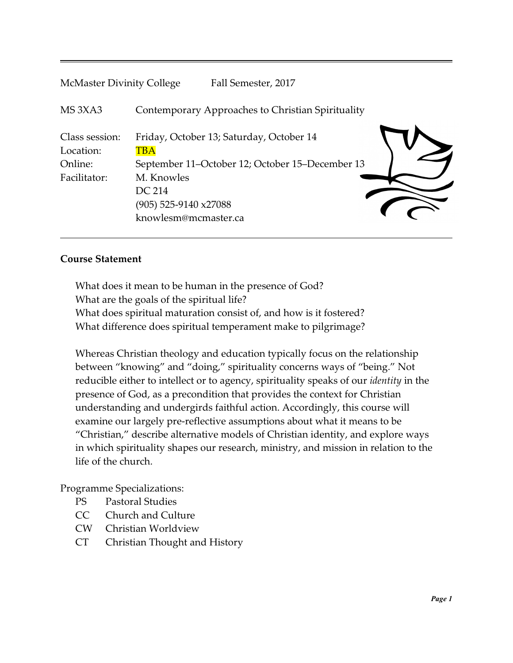| <b>McMaster Divinity College</b>                       | Fall Semester, 2017                                                                                                                                                         |  |
|--------------------------------------------------------|-----------------------------------------------------------------------------------------------------------------------------------------------------------------------------|--|
| MS <sub>3</sub> X <sub>A3</sub>                        | Contemporary Approaches to Christian Spirituality                                                                                                                           |  |
| Class session:<br>Location:<br>Online:<br>Facilitator: | Friday, October 13; Saturday, October 14<br>TBA<br>September 11-October 12; October 15-December 13<br>M. Knowles<br>DC 214<br>(905) 525-9140 x27088<br>knowlesm@mcmaster.ca |  |
|                                                        |                                                                                                                                                                             |  |

#### **Course Statement**

What does it mean to be human in the presence of God? What are the goals of the spiritual life? What does spiritual maturation consist of, and how is it fostered? What difference does spiritual temperament make to pilgrimage?

Whereas Christian theology and education typically focus on the relationship between "knowing" and "doing," spirituality concerns ways of "being." Not reducible either to intellect or to agency, spirituality speaks of our *identity* in the presence of God, as a precondition that provides the context for Christian understanding and undergirds faithful action. Accordingly, this course will examine our largely pre-reflective assumptions about what it means to be "Christian," describe alternative models of Christian identity, and explore ways in which spirituality shapes our research, ministry, and mission in relation to the life of the church.

Programme Specializations:

- PS Pastoral Studies
- CC Church and Culture
- CW Christian Worldview
- CT Christian Thought and History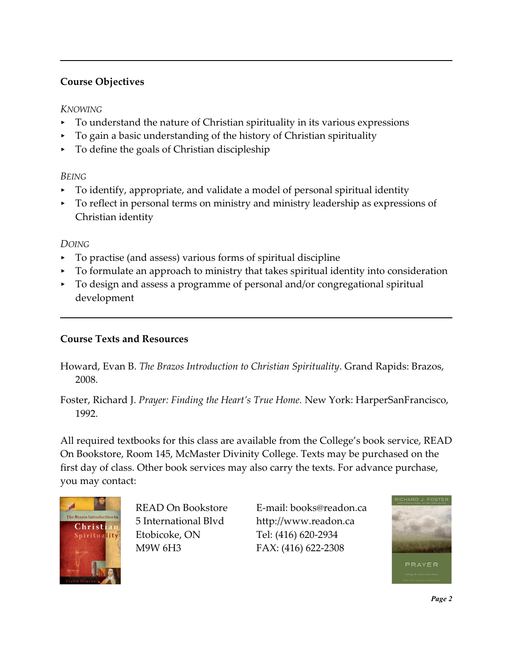# **Course Objectives**

### *KNOWING*

- $\triangleright$  To understand the nature of Christian spirituality in its various expressions
- < To gain a basic understanding of the history of Christian spirituality
- < To define the goals of Christian discipleship

## *BEING*

- < To identify, appropriate, and validate a model of personal spiritual identity
- < To reflect in personal terms on ministry and ministry leadership as expressions of Christian identity

# *DOING*

- < To practise (and assess) various forms of spiritual discipline
- < To formulate an approach to ministry that takes spiritual identity into consideration
- < To design and assess a programme of personal and/or congregational spiritual development

## **Course Texts and Resources**

Howard, Evan B. *The Brazos Introduction to Christian Spirituality*. Grand Rapids: Brazos, 2008.

Foster, Richard J. *Prayer: Finding the Heart's True Home.* New York: HarperSanFrancisco, 1992.

All required textbooks for this class are available from the College's book service, READ On Bookstore, Room 145, McMaster Divinity College. Texts may be purchased on the first day of class. Other book services may also carry the texts. For advance purchase, you may contact:



Etobicoke, ON Tel: (416) 620-2934

READ On Bookstore E-mail: books@readon.ca 5 International Blvd http://www.readon.ca M9W 6H3 FAX: (416) 622-2308



*Page 2*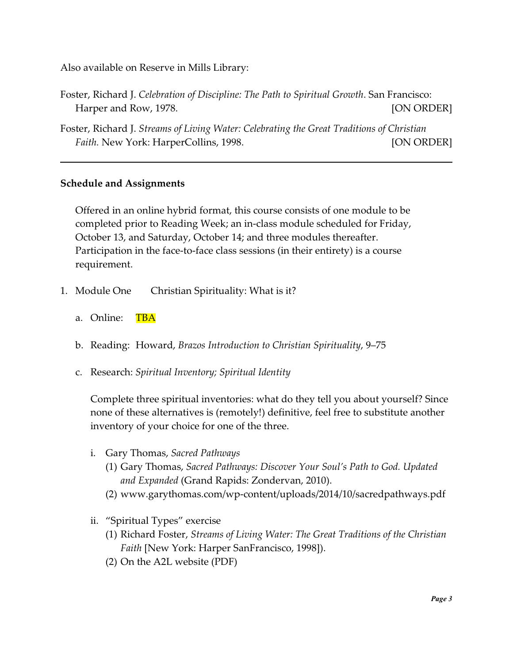Also available on Reserve in Mills Library:

- Foster, Richard J. *Celebration of Discipline: The Path to Spiritual Growth*. San Francisco: Harper and Row, 1978. The contract of the state of the state of the state of the state of the state of the state of the state of the state of the state of the state of the state of the state of the state of the state of th
- Foster, Richard J. *Streams of Living Water: Celebrating the Great Traditions of Christian Faith.* New York: HarperCollins, 1998. [ON ORDER]

#### **Schedule and Assignments**

Offered in an online hybrid format, this course consists of one module to be completed prior to Reading Week; an in-class module scheduled for Friday, October 13, and Saturday, October 14; and three modules thereafter. Participation in the face-to-face class sessions (in their entirety) is a course requirement.

- 1. Module One Christian Spirituality: What is it?
	- a. Online: TBA
	- b. Reading: Howard, *Brazos Introduction to Christian Spirituality*, 9–75
	- c. Research: *Spiritual Inventory; Spiritual Identity*

Complete three spiritual inventories: what do they tell you about yourself? Since none of these alternatives is (remotely!) definitive, feel free to substitute another inventory of your choice for one of the three.

- i. Gary Thomas, *Sacred Pathways*
	- (1) Gary Thomas, *Sacred Pathways: Discover Your Soul's Path to God. Updated and Expanded* (Grand Rapids: Zondervan, 2010).
	- (2) www.garythomas.com/wp-content/uploads/2014/10/sacredpathways.pdf
- ii. "Spiritual Types" exercise
	- (1) Richard Foster, *Streams of Living Water: The Great Traditions of the Christian Faith* [New York: Harper SanFrancisco, 1998]).
	- (2) On the A2L website (PDF)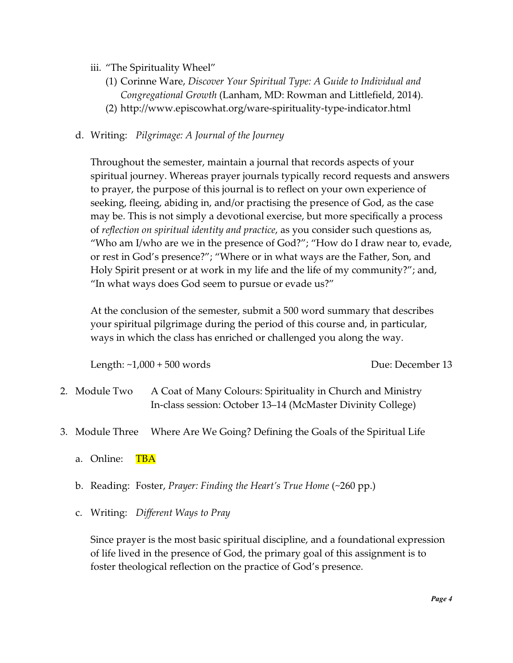- iii. "The Spirituality Wheel"
	- (1) Corinne Ware, *Discover Your Spiritual Type: A Guide to Individual and Congregational Growth* (Lanham, MD: Rowman and Littlefield, 2014).
	- (2) http://www.episcowhat.org/ware-spirituality-type-indicator.html

#### d. Writing: *Pilgrimage: A Journal of the Journey*

Throughout the semester, maintain a journal that records aspects of your spiritual journey. Whereas prayer journals typically record requests and answers to prayer, the purpose of this journal is to reflect on your own experience of seeking, fleeing, abiding in, and/or practising the presence of God, as the case may be. This is not simply a devotional exercise, but more specifically a process of *reflection on spiritual identity and practice*, as you consider such questions as, "Who am I/who are we in the presence of God?"; "How do I draw near to, evade, or rest in God's presence?"; "Where or in what ways are the Father, Son, and Holy Spirit present or at work in my life and the life of my community?"; and, "In what ways does God seem to pursue or evade us?"

At the conclusion of the semester, submit a 500 word summary that describes your spiritual pilgrimage during the period of this course and, in particular, ways in which the class has enriched or challenged you along the way.

Length: ~1,000 + 500 words Due: December 13

- 2. Module Two A Coat of Many Colours: Spirituality in Church and Ministry In-class session: October 13–14 (McMaster Divinity College)
- 3. Module Three Where Are We Going? Defining the Goals of the Spiritual Life
	- a. Online: TBA
	- b. Reading: Foster, *Prayer: Finding the Heart's True Home* (~260 pp.)
	- c. Writing: *Different Ways to Pray*

Since prayer is the most basic spiritual discipline, and a foundational expression of life lived in the presence of God, the primary goal of this assignment is to foster theological reflection on the practice of God's presence.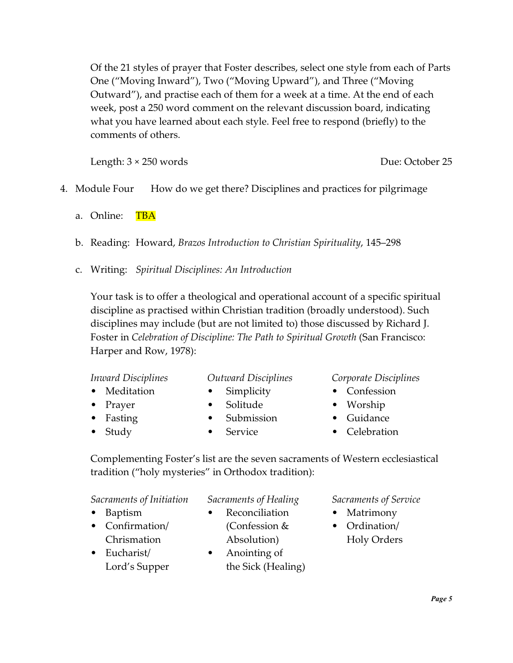Of the 21 styles of prayer that Foster describes, select one style from each of Parts One ("Moving Inward"), Two ("Moving Upward"), and Three ("Moving Outward"), and practise each of them for a week at a time. At the end of each week, post a 250 word comment on the relevant discussion board, indicating what you have learned about each style. Feel free to respond (briefly) to the comments of others.

Length:  $3 \times 250$  words Due: October 25

- 4. Module Four How do we get there? Disciplines and practices for pilgrimage
	- a. Online: TBA
	- b. Reading: Howard, *Brazos Introduction to Christian Spirituality*, 145–298
	- c. Writing: *Spiritual Disciplines: An Introduction*

Your task is to offer a theological and operational account of a specific spiritual discipline as practised within Christian tradition (broadly understood). Such disciplines may include (but are not limited to) those discussed by Richard J. Foster in *Celebration of Discipline: The Path to Spiritual Growth* (San Francisco: Harper and Row, 1978):

- *Inward Disciplines*
- *Outward Disciplines*
- Meditation
- Prayer
- Fasting
- Study
- Simplicity
- Solitude
- Submission
- Service
- *Corporate Disciplines*
- Confession
- Worship
- Guidance
- Celebration

Complementing Foster's list are the seven sacraments of Western ecclesiastical tradition ("holy mysteries" in Orthodox tradition):

*Sacraments of Initiation*

- Baptism
- Confirmation/ Chrismation
- Eucharist/ Lord's Supper
- Anointing of the Sick (Healing)

*Sacraments of Healing* **Reconciliation** (Confession & Absolution)

*Sacraments of Service*

- Matrimony
- Ordination/ Holy Orders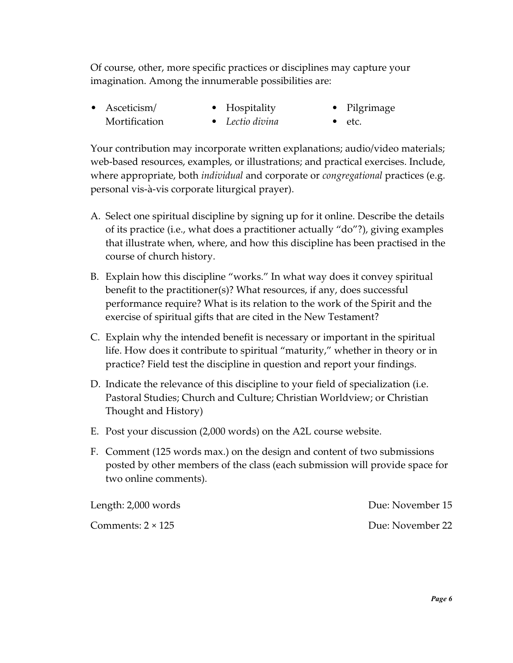Of course, other, more specific practices or disciplines may capture your imagination. Among the innumerable possibilities are:

• Asceticism/ Mortification • Hospitality • *Lectio divina* • Pilgrimage • etc.

Your contribution may incorporate written explanations; audio/video materials; web-based resources, examples, or illustrations; and practical exercises. Include, where appropriate, both *individual* and corporate or *congregational* practices (e.g. personal vis-à-vis corporate liturgical prayer).

- A. Select one spiritual discipline by signing up for it online. Describe the details of its practice (i.e., what does a practitioner actually "do"?), giving examples that illustrate when, where, and how this discipline has been practised in the course of church history.
- B. Explain how this discipline "works." In what way does it convey spiritual benefit to the practitioner(s)? What resources, if any, does successful performance require? What is its relation to the work of the Spirit and the exercise of spiritual gifts that are cited in the New Testament?
- C. Explain why the intended benefit is necessary or important in the spiritual life. How does it contribute to spiritual "maturity," whether in theory or in practice? Field test the discipline in question and report your findings.
- D. Indicate the relevance of this discipline to your field of specialization (i.e. Pastoral Studies; Church and Culture; Christian Worldview; or Christian Thought and History)
- E. Post your discussion (2,000 words) on the A2L course website.
- F. Comment (125 words max.) on the design and content of two submissions posted by other members of the class (each submission will provide space for two online comments).

| Length: 2,000 words      | Due: November 15 |
|--------------------------|------------------|
| Comments: $2 \times 125$ | Due: November 22 |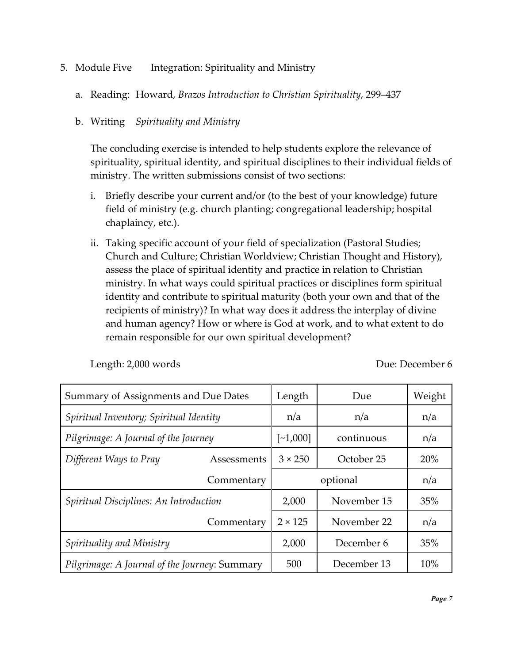- 5. Module Five Integration: Spirituality and Ministry
	- a. Reading: Howard, *Brazos Introduction to Christian Spirituality*, 299–437

### b. Writing *Spirituality and Ministry*

The concluding exercise is intended to help students explore the relevance of spirituality, spiritual identity, and spiritual disciplines to their individual fields of ministry. The written submissions consist of two sections:

- i. Briefly describe your current and/or (to the best of your knowledge) future field of ministry (e.g. church planting; congregational leadership; hospital chaplaincy, etc.).
- ii. Taking specific account of your field of specialization (Pastoral Studies; Church and Culture; Christian Worldview; Christian Thought and History), assess the place of spiritual identity and practice in relation to Christian ministry. In what ways could spiritual practices or disciplines form spiritual identity and contribute to spiritual maturity (both your own and that of the recipients of ministry)? In what way does it address the interplay of divine and human agency? How or where is God at work, and to what extent to do remain responsible for our own spiritual development?

Length: 2,000 words Due: December 6

| Summary of Assignments and Due Dates          |             | Length         | Due         | Weight |
|-----------------------------------------------|-------------|----------------|-------------|--------|
| Spiritual Inventory; Spiritual Identity       |             | n/a            | n/a         | n/a    |
| Pilgrimage: A Journal of the Journey          |             | $[-1,000]$     | continuous  | n/a    |
| Different Ways to Pray                        | Assessments | $3 \times 250$ | October 25  | 20%    |
|                                               | Commentary  |                | optional    | n/a    |
| Spiritual Disciplines: An Introduction        |             | 2,000          | November 15 | 35%    |
|                                               | Commentary  | $2 \times 125$ | November 22 | n/a    |
| Spirituality and Ministry                     |             | 2,000          | December 6  | 35%    |
| Pilgrimage: A Journal of the Journey: Summary |             | 500            | December 13 | 10%    |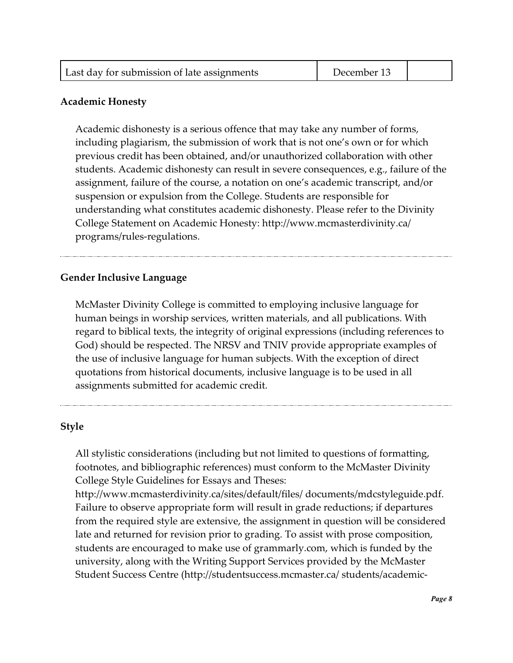| Last day for submission of late assignments | December 13 |  |
|---------------------------------------------|-------------|--|
|---------------------------------------------|-------------|--|

#### **Academic Honesty**

Academic dishonesty is a serious offence that may take any number of forms, including plagiarism, the submission of work that is not one's own or for which previous credit has been obtained, and/or unauthorized collaboration with other students. Academic dishonesty can result in severe consequences, e.g., failure of the assignment, failure of the course, a notation on one's academic transcript, and/or suspension or expulsion from the College. Students are responsible for understanding what constitutes academic dishonesty. Please refer to the Divinity College Statement on Academic Honesty: http://www.mcmasterdivinity.ca/ programs/rules-regulations.

#### **Gender Inclusive Language**

McMaster Divinity College is committed to employing inclusive language for human beings in worship services, written materials, and all publications. With regard to biblical texts, the integrity of original expressions (including references to God) should be respected. The NRSV and TNIV provide appropriate examples of the use of inclusive language for human subjects. With the exception of direct quotations from historical documents, inclusive language is to be used in all assignments submitted for academic credit.

#### **Style**

All stylistic considerations (including but not limited to questions of formatting, footnotes, and bibliographic references) must conform to the McMaster Divinity College Style Guidelines for Essays and Theses:

http://www.mcmasterdivinity.ca/sites/default/files/ documents/mdcstyleguide.pdf. Failure to observe appropriate form will result in grade reductions; if departures from the required style are extensive, the assignment in question will be considered late and returned for revision prior to grading. To assist with prose composition, students are encouraged to make use of grammarly.com, which is funded by the university, along with the Writing Support Services provided by the McMaster Student Success Centre (http://studentsuccess.mcmaster.ca/ students/academic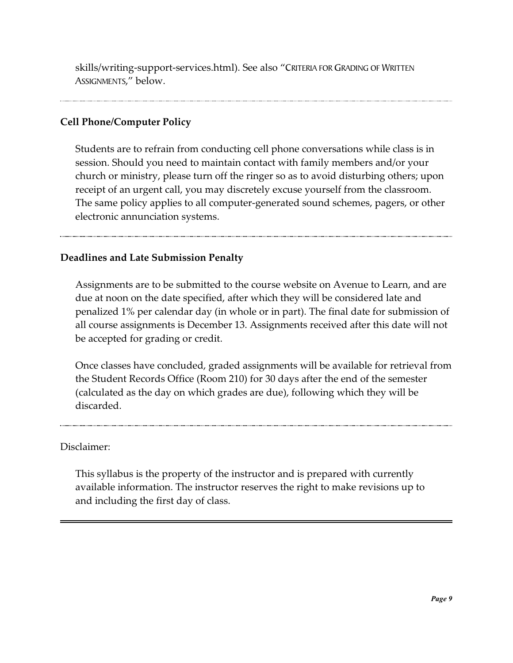skills/writing-support-services.html). See also "CRITERIA FOR GRADING OF WRITTEN ASSIGNMENTS," below.

## **Cell Phone/Computer Policy**

Students are to refrain from conducting cell phone conversations while class is in session. Should you need to maintain contact with family members and/or your church or ministry, please turn off the ringer so as to avoid disturbing others; upon receipt of an urgent call, you may discretely excuse yourself from the classroom. The same policy applies to all computer-generated sound schemes, pagers, or other electronic annunciation systems.

## **Deadlines and Late Submission Penalty**

Assignments are to be submitted to the course website on Avenue to Learn, and are due at noon on the date specified, after which they will be considered late and penalized 1% per calendar day (in whole or in part). The final date for submission of all course assignments is December 13. Assignments received after this date will not be accepted for grading or credit.

Once classes have concluded, graded assignments will be available for retrieval from the Student Records Office (Room 210) for 30 days after the end of the semester (calculated as the day on which grades are due), following which they will be discarded.

### Disclaimer:

This syllabus is the property of the instructor and is prepared with currently available information. The instructor reserves the right to make revisions up to and including the first day of class.